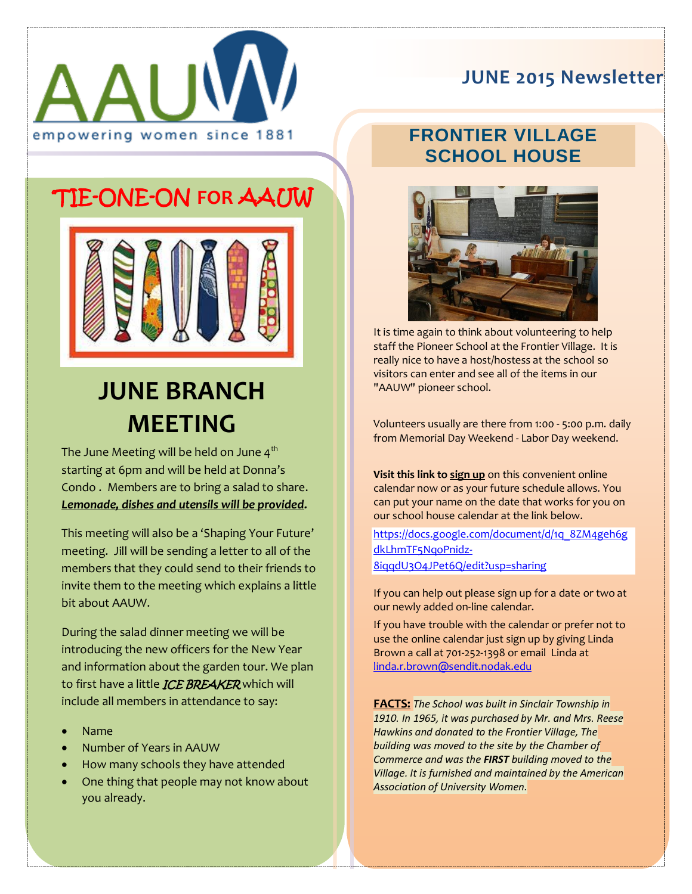

## **JUNE 2015 Newsletter**

### **FRONTIER VILLAGE SCHOOL HOUSE**



It is time again to think about volunteering to help staff the Pioneer School at the Frontier Village. It is really nice to have a host/hostess at the school so visitors can enter and see all of the items in our "AAUW" pioneer school.

Volunteers usually are there from 1:00 - 5:00 p.m. daily from Memorial Day Weekend - Labor Day weekend.

**Visit this link to sign up** on this convenient online calendar now or as your future schedule allows. You can put your name on the date that works for you on our school house calendar at the link below.

[https://docs.google.com/document/d/1q\\_8ZM4geh6g](https://docs.google.com/document/d/1q_8ZM4geh6gdkLhmTF5NqoPnidz-8iqqdU3O4JPet6Q/edit?usp=sharing) [dkLhmTF5NqoPnidz-](https://docs.google.com/document/d/1q_8ZM4geh6gdkLhmTF5NqoPnidz-8iqqdU3O4JPet6Q/edit?usp=sharing)[8iqqdU3O4JPet6Q/edit?usp=sharing](https://docs.google.com/document/d/1q_8ZM4geh6gdkLhmTF5NqoPnidz-8iqqdU3O4JPet6Q/edit?usp=sharing)

If you can help out please sign up for a date or two at our newly added on-line calendar.

If you have trouble with the calendar or prefer not to use the online calendar just sign up by giving Linda Brown a call at 701-252-1398 or email Linda at [linda.r.brown@sendit.nodak.edu](mailto:linda.r.brown@sendit.nodak.edu)

**FACTS:** *The School was built in Sinclair Township in 1910. In 1965, it was purchased by Mr. and Mrs. Reese Hawkins and donated to the Frontier Village, The building was moved to the site by the Chamber of Commerce and was the FIRST building moved to the Village. It is furnished and maintained by the American Association of University Women.*

## 'TIE-ONE-ON **FOR** AAUW



# **JUNE BRANCH MEETING**

The June Meeting will be held on June  $4<sup>th</sup>$ starting at 6pm and will be held at Donna's Condo . Members are to bring a salad to share. *Lemonade, dishes and utensils will be provided.*

This meeting will also be a 'Shaping Your Future' meeting. Jill will be sending a letter to all of the members that they could send to their friends to invite them to the meeting which explains a little bit about AAUW.

During the salad dinner meeting we will be introducing the new officers for the New Year and information about the garden tour. We plan to first have a little *ICE BREAKER* which will include all members in attendance to say:

- Name
- Number of Years in AAUW
- How many schools they have attended
- One thing that people may not know about you already.